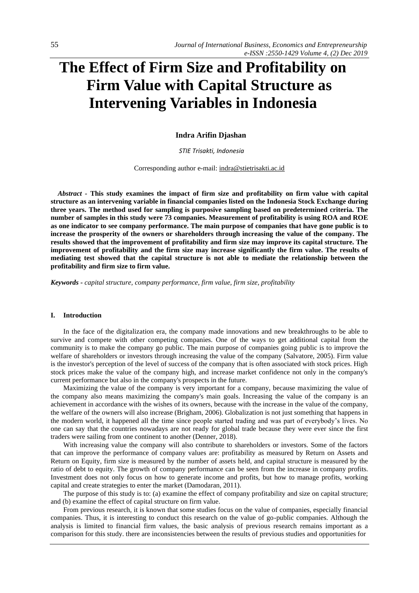# **The Effect of Firm Size and Profitability on Firm Value with Capital Structure as Intervening Variables in Indonesia**

**Indra Arifin Djashan**

*STIE Trisakti, Indonesia*

Corresponding author e-mail[: indra@stietrisakti.ac.id](mailto:indra@stietrisakti.ac.id)

*Abstract -* **This study examines the impact of firm size and profitability on firm value with capital structure as an intervening variable in financial companies listed on the Indonesia Stock Exchange during three years. The method used for sampling is purposive sampling based on predetermined criteria. The number of samples in this study were 73 companies. Measurement of profitability is using ROA and ROE as one indicator to see company performance. The main purpose of companies that have gone public is to increase the prosperity of the owners or shareholders through increasing the value of the company. The results showed that the improvement of profitability and firm size may improve its capital structure. The improvement of profitability and the firm size may increase significantly the firm value. The results of mediating test showed that the capital structure is not able to mediate the relationship between the profitability and firm size to firm value.**

*Keywords - capital structure, company performance, firm value, firm size, profitability* 

#### **I. Introduction**

In the face of the digitalization era, the company made innovations and new breakthroughs to be able to survive and compete with other competing companies. One of the ways to get additional capital from the community is to make the company go public. The main purpose of companies going public is to improve the welfare of shareholders or investors through increasing the value of the company (Salvatore, 2005). Firm value is the investor's perception of the level of success of the company that is often associated with stock prices. High stock prices make the value of the company high, and increase market confidence not only in the company's current performance but also in the company's prospects in the future.

Maximizing the value of the company is very important for a company, because maximizing the value of the company also means maximizing the company's main goals. Increasing the value of the company is an achievement in accordance with the wishes of its owners, because with the increase in the value of the company, the welfare of the owners will also increase (Brigham, 2006). Globalization is not just something that happens in the modern world, it happened all the time since people started trading and was part of everybody's lives. No one can say that the countries nowadays are not ready for global trade because they were ever since the first traders were sailing from one continent to another (Denner, 2018).

With increasing value the company will also contribute to shareholders or investors. Some of the factors that can improve the performance of company values are: profitability as measured by Return on Assets and Return on Equity, firm size is measured by the number of assets held, and capital structure is measured by the ratio of debt to equity. The growth of company performance can be seen from the increase in company profits. Investment does not only focus on how to generate income and profits, but how to manage profits, working capital and create strategies to enter the market (Damodaran, 2011).

The purpose of this study is to: (a) examine the effect of company profitability and size on capital structure; and (b) examine the effect of capital structure on firm value.

From previous research, it is known that some studies focus on the value of companies, especially financial companies. Thus, it is interesting to conduct this research on the value of go-public companies. Although the analysis is limited to financial firm values, the basic analysis of previous research remains important as a comparison for this study. there are inconsistencies between the results of previous studies and opportunities for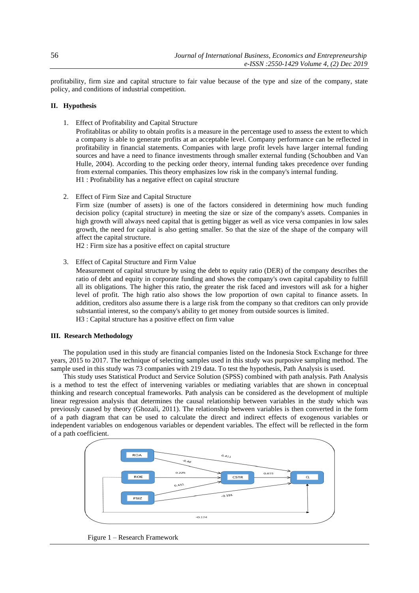profitability, firm size and capital structure to fair value because of the type and size of the company, state policy, and conditions of industrial competition.

## **II. Hypothesis**

1. Effect of Profitability and Capital Structure

Profitablitas or ability to obtain profits is a measure in the percentage used to assess the extent to which a company is able to generate profits at an acceptable level. Company performance can be reflected in profitability in financial statements. Companies with large profit levels have larger internal funding sources and have a need to finance investments through smaller external funding (Schoubben and Van Hulle, 2004). According to the pecking order theory, internal funding takes precedence over funding from external companies. This theory emphasizes low risk in the company's internal funding. H1 : Profitability has a negative effect on capital structure

2. Effect of Firm Size and Capital Structure

Firm size (number of assets) is one of the factors considered in determining how much funding decision policy (capital structure) in meeting the size or size of the company's assets. Companies in high growth will always need capital that is getting bigger as well as vice versa companies in low sales growth, the need for capital is also getting smaller. So that the size of the shape of the company will affect the capital structure.

H2 : Firm size has a positive effect on capital structure

3. Effect of Capital Structure and Firm Value

Measurement of capital structure by using the debt to equity ratio (DER) of the company describes the ratio of debt and equity in corporate funding and shows the company's own capital capability to fulfill all its obligations. The higher this ratio, the greater the risk faced and investors will ask for a higher level of profit. The high ratio also shows the low proportion of own capital to finance assets. In addition, creditors also assume there is a large risk from the company so that creditors can only provide substantial interest, so the company's ability to get money from outside sources is limited. H3 : Capital structure has a positive effect on firm value

#### **III. Research Methodology**

The population used in this study are financial companies listed on the Indonesia Stock Exchange for three years, 2015 to 2017. The technique of selecting samples used in this study was purposive sampling method. The sample used in this study was 73 companies with 219 data. To test the hypothesis, Path Analysis is used.

This study uses Statistical Product and Service Solution (SPSS) combined with path analysis. Path Analysis is a method to test the effect of intervening variables or mediating variables that are shown in conceptual thinking and research conceptual frameworks. Path analysis can be considered as the development of multiple linear regression analysis that determines the causal relationship between variables in the study which was previously caused by theory (Ghozali, 2011). The relationship between variables is then converted in the form of a path diagram that can be used to calculate the direct and indirect effects of exogenous variables or independent variables on endogenous variables or dependent variables. The effect will be reflected in the form of a path coefficient.



Figure 1 – Research Framework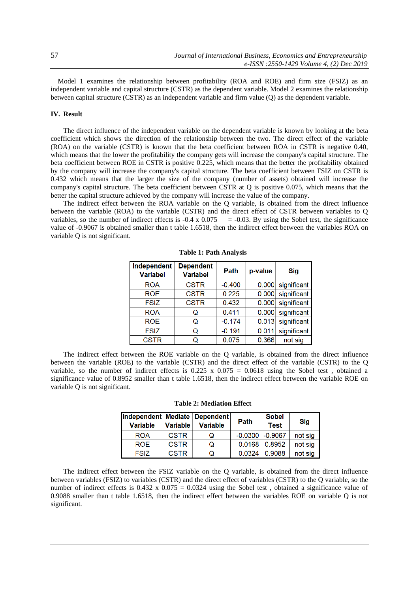Model 1 examines the relationship between profitability (ROA and ROE) and firm size (FSIZ) as an independent variable and capital structure (CSTR) as the dependent variable. Model 2 examines the relationship between capital structure (CSTR) as an independent variable and firm value (Q) as the dependent variable.

# **IV. Result**

The direct influence of the independent variable on the dependent variable is known by looking at the beta coefficient which shows the direction of the relationship between the two. The direct effect of the variable (ROA) on the variable (CSTR) is known that the beta coefficient between ROA in CSTR is negative 0.40, which means that the lower the profitability the company gets will increase the company's capital structure. The beta coefficient between ROE in CSTR is positive 0.225, which means that the better the profitability obtained by the company will increase the company's capital structure. The beta coefficient between FSIZ on CSTR is 0.432 which means that the larger the size of the company (number of assets) obtained will increase the company's capital structure. The beta coefficient between CSTR at Q is positive 0.075, which means that the better the capital structure achieved by the company will increase the value of the company.

The indirect effect between the ROA variable on the Q variable, is obtained from the direct influence between the variable (ROA) to the variable (CSTR) and the direct effect of CSTR between variables to Q variables, so the number of indirect effects is  $-0.4 \times 0.075 = -0.03$ . By using the Sobel test, the significance value of -0.9067 is obtained smaller than t table 1.6518, then the indirect effect between the variables ROA on variable Q is not significant.

| Independent<br><b>Variabel</b> | <b>Dependent</b><br><b>Variabel</b> | Path     | p-value | <b>Sig</b>        |
|--------------------------------|-------------------------------------|----------|---------|-------------------|
| <b>ROA</b>                     | <b>CSTR</b>                         | $-0.400$ |         | 0.000 significant |
| <b>ROE</b>                     | <b>CSTR</b>                         | 0.225    | 0.000   | significant       |
| <b>FSIZ</b>                    | <b>CSTR</b>                         | 0.432    | 0.000   | significant       |
| <b>ROA</b>                     | Q                                   | 0.411    | 0.000   | significant       |
| <b>ROE</b>                     | Q                                   | $-0.174$ | 0.013   | significant       |
| <b>FSIZ</b>                    | Q                                   | $-0.191$ | 0.011   | significant       |
| <b>CSTR</b>                    |                                     | 0.075    | 0.366   | not sig           |

**Table 1: Path Analysis**

The indirect effect between the ROE variable on the Q variable, is obtained from the direct influence between the variable (ROE) to the variable (CSTR) and the direct effect of the variable (CSTR) to the Q variable, so the number of indirect effects is  $0.225 \times 0.075 = 0.0618$  using the Sobel test, obtained a significance value of 0.8952 smaller than t table 1.6518, then the indirect effect between the variable ROE on variable Q is not significant.

|  |  | <b>Table 2: Mediation Effect</b> |  |
|--|--|----------------------------------|--|
|--|--|----------------------------------|--|

| Independent Mediate Dependent<br><b>Variable</b> | <b>Variable</b> | <b>Variable</b> | Path   | <b>Sobel</b><br><b>Test</b> | <b>Sig</b> |
|--------------------------------------------------|-----------------|-----------------|--------|-----------------------------|------------|
| <b>ROA</b>                                       | <b>CSTR</b>     | Q               |        | $-0.0300$ $-0.9067$         | not sig    |
| ROE.                                             | <b>CSTR</b>     | Q               | 0.0168 | 0.8952                      | not sig    |
| <b>FSIZ</b>                                      | <b>CSTR</b>     |                 | 0.0324 | 0.9088                      | not sig    |

The indirect effect between the FSIZ variable on the Q variable, is obtained from the direct influence between variables (FSIZ) to variables (CSTR) and the direct effect of variables (CSTR) to the Q variable, so the number of indirect effects is  $0.432 \times 0.075 = 0.0324$  using the Sobel test, obtained a significance value of 0.9088 smaller than t table 1.6518, then the indirect effect between the variables ROE on variable Q is not significant.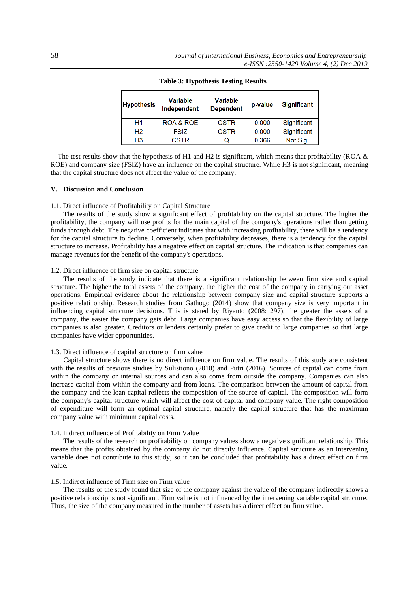| <b>Hypothesis</b> | <b>Variable</b><br>Independent | <b>Variable</b><br><b>Dependent</b> | p-value | <b>Significant</b> |
|-------------------|--------------------------------|-------------------------------------|---------|--------------------|
| H1                | ROA & ROE                      | <b>CSTR</b>                         | 0.000   | Significant        |
| H2                | FSIZ                           | <b>CSTR</b>                         | 0.000   | Significant        |
| H <sub>3</sub>    | <b>CSTR</b>                    | Q                                   | 0.366   | Not Sig.           |

**Table 3: Hypothesis Testing Results**

The test results show that the hypothesis of H1 and H2 is significant, which means that profitability (ROA & ROE) and company size (FSIZ) have an influence on the capital structure. While H3 is not significant, meaning that the capital structure does not affect the value of the company.

# **V. Discussion and Conclusion**

#### 1.1. Direct influence of Profitability on Capital Structure

The results of the study show a significant effect of profitability on the capital structure. The higher the profitability, the company will use profits for the main capital of the company's operations rather than getting funds through debt. The negative coefficient indicates that with increasing profitability, there will be a tendency for the capital structure to decline. Conversely, when profitability decreases, there is a tendency for the capital structure to increase. Profitability has a negative effect on capital structure. The indication is that companies can manage revenues for the benefit of the company's operations.

#### 1.2. Direct influence of firm size on capital structure

The results of the study indicate that there is a significant relationship between firm size and capital structure. The higher the total assets of the company, the higher the cost of the company in carrying out asset operations. Empirical evidence about the relationship between company size and capital structure supports a positive relati onship. Research studies from Gathogo (2014) show that company size is very important in influencing capital structure decisions. This is stated by Riyanto (2008: 297), the greater the assets of a company, the easier the company gets debt. Large companies have easy access so that the flexibility of large companies is also greater. Creditors or lenders certainly prefer to give credit to large companies so that large companies have wider opportunities.

# 1.3. Direct influence of capital structure on firm value

Capital structure shows there is no direct influence on firm value. The results of this study are consistent with the results of previous studies by Sulistiono (2010) and Putri (2016). Sources of capital can come from within the company or internal sources and can also come from outside the company. Companies can also increase capital from within the company and from loans. The comparison between the amount of capital from the company and the loan capital reflects the composition of the source of capital. The composition will form the company's capital structure which will affect the cost of capital and company value. The right composition of expenditure will form an optimal capital structure, namely the capital structure that has the maximum company value with minimum capital costs.

#### 1.4. Indirect influence of Profitability on Firm Value

The results of the research on profitability on company values show a negative significant relationship. This means that the profits obtained by the company do not directly influence. Capital structure as an intervening variable does not contribute to this study, so it can be concluded that profitability has a direct effect on firm value.

## 1.5. Indirect influence of Firm size on Firm value

The results of the study found that size of the company against the value of the company indirectly shows a positive relationship is not significant. Firm value is not influenced by the intervening variable capital structure. Thus, the size of the company measured in the number of assets has a direct effect on firm value.